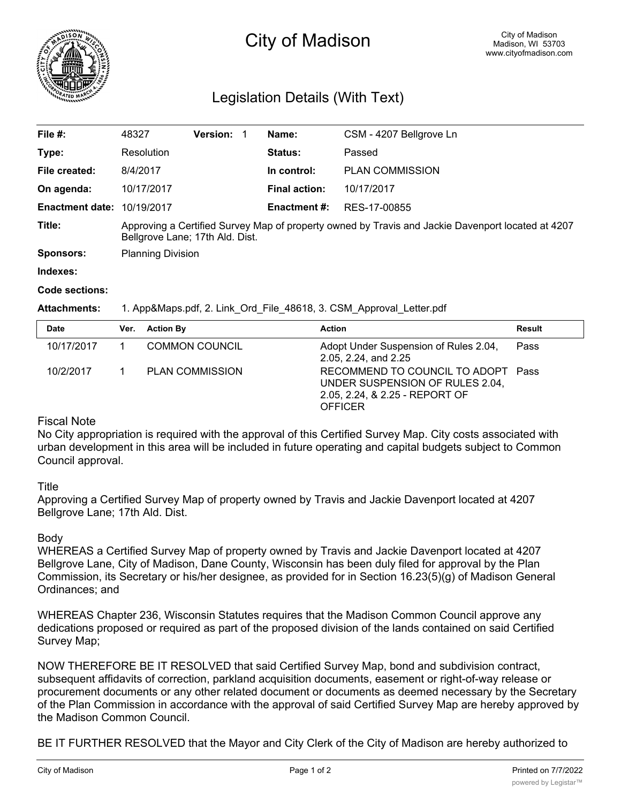

# City of Madison

# Legislation Details (With Text)

| File #:                           | 48327                                                                                                                                | <b>Version:</b> |  | Name:                | CSM - 4207 Bellgrove Ln |  |
|-----------------------------------|--------------------------------------------------------------------------------------------------------------------------------------|-----------------|--|----------------------|-------------------------|--|
| Type:                             | Resolution                                                                                                                           |                 |  | Status:              | Passed                  |  |
| File created:                     | 8/4/2017                                                                                                                             |                 |  | In control:          | <b>PLAN COMMISSION</b>  |  |
| On agenda:                        | 10/17/2017                                                                                                                           |                 |  | <b>Final action:</b> | 10/17/2017              |  |
| <b>Enactment date: 10/19/2017</b> |                                                                                                                                      |                 |  | <b>Enactment #:</b>  | RES-17-00855            |  |
| Title:                            | Approving a Certified Survey Map of property owned by Travis and Jackie Davenport located at 4207<br>Bellgrove Lane; 17th Ald. Dist. |                 |  |                      |                         |  |
| <b>Sponsors:</b>                  | <b>Planning Division</b>                                                                                                             |                 |  |                      |                         |  |
| Indexes:                          |                                                                                                                                      |                 |  |                      |                         |  |

#### **Code sections:**

#### **Attachments:** 1. App&Maps.pdf, 2. Link\_Ord\_File\_48618, 3. CSM\_Approval\_Letter.pdf

| Date       | Ver. Action By         | <b>Action</b>                                                                                                      | Result |
|------------|------------------------|--------------------------------------------------------------------------------------------------------------------|--------|
| 10/17/2017 | <b>COMMON COUNCIL</b>  | Adopt Under Suspension of Rules 2.04,<br>2.05, 2.24, and 2.25                                                      | Pass   |
| 10/2/2017  | <b>PLAN COMMISSION</b> | RECOMMEND TO COUNCIL TO ADOPT Pass<br>UNDER SUSPENSION OF RULES 2.04,<br>2.05, 2.24, & 2.25 - REPORT OF<br>OFFICER |        |

# Fiscal Note

No City appropriation is required with the approval of this Certified Survey Map. City costs associated with urban development in this area will be included in future operating and capital budgets subject to Common Council approval.

## **Title**

Approving a Certified Survey Map of property owned by Travis and Jackie Davenport located at 4207 Bellgrove Lane; 17th Ald. Dist.

## Body

WHEREAS a Certified Survey Map of property owned by Travis and Jackie Davenport located at 4207 Bellgrove Lane, City of Madison, Dane County, Wisconsin has been duly filed for approval by the Plan Commission, its Secretary or his/her designee, as provided for in Section 16.23(5)(g) of Madison General Ordinances; and

WHEREAS Chapter 236, Wisconsin Statutes requires that the Madison Common Council approve any dedications proposed or required as part of the proposed division of the lands contained on said Certified Survey Map;

NOW THEREFORE BE IT RESOLVED that said Certified Survey Map, bond and subdivision contract, subsequent affidavits of correction, parkland acquisition documents, easement or right-of-way release or procurement documents or any other related document or documents as deemed necessary by the Secretary of the Plan Commission in accordance with the approval of said Certified Survey Map are hereby approved by the Madison Common Council.

BE IT FURTHER RESOLVED that the Mayor and City Clerk of the City of Madison are hereby authorized to